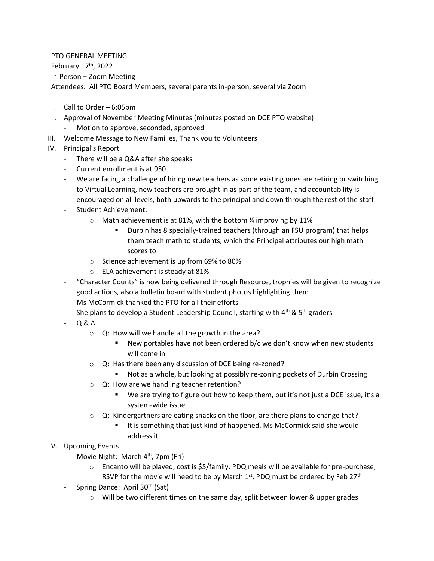PTO GENERAL MEETING February 17th, 2022 In-Person + Zoom Meeting Attendees: All PTO Board Members, several parents in-person, several via Zoom

- I. Call to Order 6:05pm
- II. Approval of November Meeting Minutes (minutes posted on DCE PTO website) Motion to approve, seconded, approved
- III. Welcome Message to New Families, Thank you to Volunteers
- IV. Principal's Report
	- There will be a Q&A after she speaks
	- Current enrollment is at 950
	- We are facing a challenge of hiring new teachers as some existing ones are retiring or switching to Virtual Learning, new teachers are brought in as part of the team, and accountability is encouraged on all levels, both upwards to the principal and down through the rest of the staff
	- Student Achievement:
		- $\circ$  Math achievement is at 81%, with the bottom % improving by 11%
			- Durbin has 8 specially-trained teachers (through an FSU program) that helps them teach math to students, which the Principal attributes our high math scores to
		- o Science achievement is up from 69% to 80%
		- o ELA achievement is steady at 81%
	- "Character Counts" is now being delivered through Resource, trophies will be given to recognize good actions, also a bulletin board with student photos highlighting them
	- Ms McCormick thanked the PTO for all their efforts
	- She plans to develop a Student Leadership Council, starting with  $4<sup>th</sup>$  &  $5<sup>th</sup>$  graders
	- Q & A
		- o Q: How will we handle all the growth in the area?
			- New portables have not been ordered b/c we don't know when new students will come in
		- o Q: Has there been any discussion of DCE being re-zoned?
			- Not as a whole, but looking at possibly re-zoning pockets of Durbin Crossing
		- o Q: How are we handling teacher retention?
			- We are trying to figure out how to keep them, but it's not just a DCE issue, it's a system-wide issue
		- $\circ$  Q: Kindergartners are eating snacks on the floor, are there plans to change that?
			- It is something that just kind of happened, Ms McCormick said she would address it
- V. Upcoming Events
	- Movie Night: March 4<sup>th</sup>, 7pm (Fri)
		- $\circ$  Encanto will be played, cost is \$5/family, PDQ meals will be available for pre-purchase, RSVP for the movie will need to be by March  $1<sup>st</sup>$ , PDQ must be ordered by Feb  $27<sup>th</sup>$
	- Spring Dance: April 30<sup>th</sup> (Sat)
		- $\circ$  Will be two different times on the same day, split between lower & upper grades